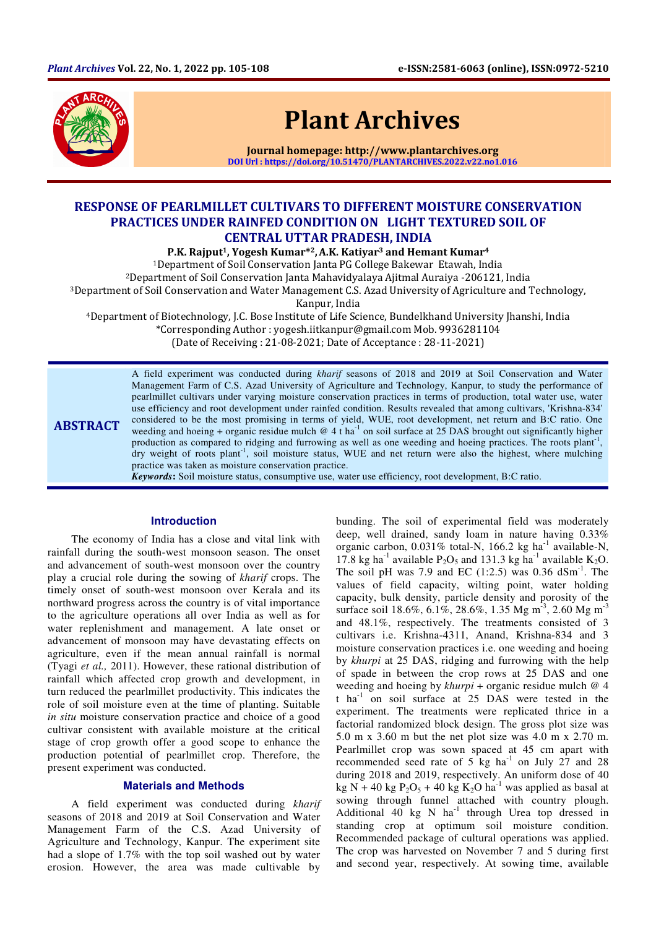

# Plant Archives

Journal homepage: http://www.plantarchives.org DOI Url : https://doi.org/10.51470/PLANTARCHIVES.2022.v22.no1.016

## RESPONSE OF PEARLMILLET CULTIVARS TO DIFFERENT MOISTURE CONSERVATION PRACTICES UNDER RAINFED CONDITION ON LIGHT TEXTURED SOIL OF CENTRAL UTTAR PRADESH, INDIA

P.K. Rajput<sup>1</sup>, Yogesh Kumar<sup>\*2</sup>, A.K. Katiyar<sup>3</sup> and Hemant Kumar<sup>4</sup>

<sup>1</sup>Department of Soil Conservation Janta PG College Bakewar Etawah, India

<sup>2</sup>Department of Soil Conservation Janta Mahavidyalaya Ajitmal Auraiya -206121, India

<sup>3</sup>Department of Soil Conservation and Water Management C.S. Azad University of Agriculture and Technology,

Kanpur, India

<sup>4</sup>Department of Biotechnology, J.C. Bose Institute of Life Science, Bundelkhand University Jhanshi, India \*Corresponding Author : yogesh.iitkanpur@gmail.com Mob. 9936281104

(Date of Receiving : 21-08-2021; Date of Acceptance : 28-11-2021)

ABSTRACT A field experiment was conducted during *kharif* seasons of 2018 and 2019 at Soil Conservation and Water Management Farm of C.S. Azad University of Agriculture and Technology, Kanpur, to study the performance of pearlmillet cultivars under varying moisture conservation practices in terms of production, total water use, water use efficiency and root development under rainfed condition. Results revealed that among cultivars, 'Krishna-834' considered to be the most promising in terms of yield, WUE, root development, net return and B:C ratio. One weeding and hoeing + organic residue mulch  $@$  4 t ha<sup>-1</sup> on soil surface at 25 DAS brought out significantly higher production as compared to ridging and furrowing as well as one weeding and hoeing practices. The roots plant<sup>-1</sup>, dry weight of roots plant<sup>-1</sup>, soil moisture status, WUE and net return were also the highest, where mulching practice was taken as moisture conservation practice.

*Keywords***:** Soil moisture status, consumptive use, water use efficiency, root development, B:C ratio.

## **Introduction**

The economy of India has a close and vital link with rainfall during the south-west monsoon season. The onset and advancement of south-west monsoon over the country play a crucial role during the sowing of *kharif* crops. The timely onset of south-west monsoon over Kerala and its northward progress across the country is of vital importance to the agriculture operations all over India as well as for water replenishment and management. A late onset or advancement of monsoon may have devastating effects on agriculture, even if the mean annual rainfall is normal (Tyagi *et al.,* 2011). However, these rational distribution of rainfall which affected crop growth and development, in turn reduced the pearlmillet productivity. This indicates the role of soil moisture even at the time of planting. Suitable *in situ* moisture conservation practice and choice of a good cultivar consistent with available moisture at the critical stage of crop growth offer a good scope to enhance the production potential of pearlmillet crop. Therefore, the present experiment was conducted.

### **Materials and Methods**

A field experiment was conducted during *kharif* seasons of 2018 and 2019 at Soil Conservation and Water Management Farm of the C.S. Azad University of Agriculture and Technology, Kanpur. The experiment site had a slope of 1.7% with the top soil washed out by water erosion. However, the area was made cultivable by

bunding. The soil of experimental field was moderately deep, well drained, sandy loam in nature having 0.33% organic carbon,  $0.031\%$  total-N, 166.2 kg ha<sup>-1</sup> available-N, 17.8 kg ha<sup>-1</sup> available  $P_2O_5$  and 131.3 kg ha<sup>-1</sup> available K<sub>2</sub>O. The soil pH was 7.9 and EC  $(1:2.5)$  was 0.36 dSm<sup>-1</sup>. The values of field capacity, wilting point, water holding capacity, bulk density, particle density and porosity of the surface soil 18.6%, 6.1%, 28.6%, 1.35 Mg m<sup>-3</sup>, 2.60 Mg m<sup>-3</sup> and 48.1%, respectively. The treatments consisted of 3 cultivars i.e. Krishna-4311, Anand, Krishna-834 and 3 moisture conservation practices i.e. one weeding and hoeing by *khurpi* at 25 DAS, ridging and furrowing with the help of spade in between the crop rows at 25 DAS and one weeding and hoeing by *khurpi* + organic residue mulch @ 4 t ha-1 on soil surface at 25 DAS were tested in the experiment. The treatments were replicated thrice in a factorial randomized block design. The gross plot size was 5.0 m x 3.60 m but the net plot size was 4.0 m x 2.70 m. Pearlmillet crop was sown spaced at 45 cm apart with recommended seed rate of  $5 \text{ kg } \text{ha}^{-1}$  on July 27 and 28 during 2018 and 2019, respectively. An uniform dose of 40 kg N + 40 kg  $P_2O_5$  + 40 kg  $K_2O$  ha<sup>-1</sup> was applied as basal at sowing through funnel attached with country plough. Additional  $40 \text{ kg}$  N ha<sup>-1</sup> through Urea top dressed in standing crop at optimum soil moisture condition. Recommended package of cultural operations was applied. The crop was harvested on November 7 and 5 during first and second year, respectively. At sowing time, available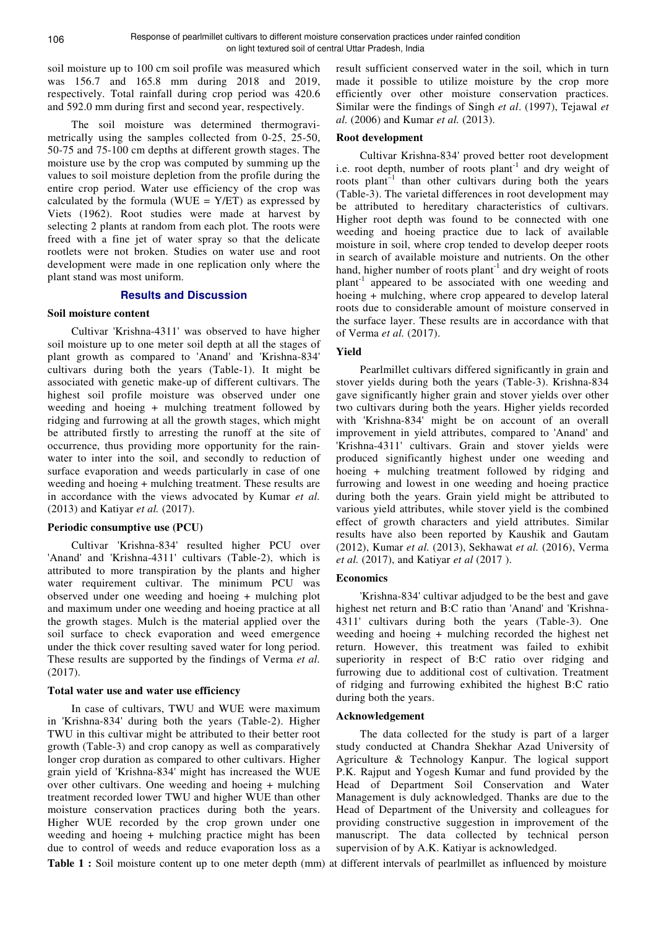soil moisture up to 100 cm soil profile was measured which was 156.7 and 165.8 mm during 2018 and 2019, respectively. Total rainfall during crop period was 420.6 and 592.0 mm during first and second year, respectively.

The soil moisture was determined thermogravimetrically using the samples collected from 0-25, 25-50, 50-75 and 75-100 cm depths at different growth stages. The moisture use by the crop was computed by summing up the values to soil moisture depletion from the profile during the entire crop period. Water use efficiency of the crop was calculated by the formula (WUE =  $Y/ET$ ) as expressed by Viets (1962). Root studies were made at harvest by selecting 2 plants at random from each plot. The roots were freed with a fine jet of water spray so that the delicate rootlets were not broken. Studies on water use and root development were made in one replication only where the plant stand was most uniform.

## **Results and Discussion**

#### **Soil moisture content**

Cultivar 'Krishna-4311' was observed to have higher soil moisture up to one meter soil depth at all the stages of plant growth as compared to 'Anand' and 'Krishna-834' cultivars during both the years (Table-1). It might be associated with genetic make-up of different cultivars. The highest soil profile moisture was observed under one weeding and hoeing + mulching treatment followed by ridging and furrowing at all the growth stages, which might be attributed firstly to arresting the runoff at the site of occurrence, thus providing more opportunity for the rainwater to inter into the soil, and secondly to reduction of surface evaporation and weeds particularly in case of one weeding and hoeing + mulching treatment. These results are in accordance with the views advocated by Kumar *et al.* (2013) and Katiyar *et al.* (2017).

#### **Periodic consumptive use (PCU)**

Cultivar 'Krishna-834' resulted higher PCU over 'Anand' and 'Krishna-4311' cultivars (Table-2), which is attributed to more transpiration by the plants and higher water requirement cultivar. The minimum PCU was observed under one weeding and hoeing + mulching plot and maximum under one weeding and hoeing practice at all the growth stages. Mulch is the material applied over the soil surface to check evaporation and weed emergence under the thick cover resulting saved water for long period. These results are supported by the findings of Verma *et al.* (2017).

#### **Total water use and water use efficiency**

In case of cultivars, TWU and WUE were maximum in 'Krishna-834' during both the years (Table-2). Higher TWU in this cultivar might be attributed to their better root growth (Table-3) and crop canopy as well as comparatively longer crop duration as compared to other cultivars. Higher grain yield of 'Krishna-834' might has increased the WUE over other cultivars. One weeding and hoeing + mulching treatment recorded lower TWU and higher WUE than other moisture conservation practices during both the years. Higher WUE recorded by the crop grown under one weeding and hoeing + mulching practice might has been due to control of weeds and reduce evaporation loss as a

result sufficient conserved water in the soil, which in turn made it possible to utilize moisture by the crop more efficiently over other moisture conservation practices. Similar were the findings of Singh *et al*. (1997), Tejawal *et al.* (2006) and Kumar *et al.* (2013).

#### **Root development**

Cultivar Krishna-834' proved better root development i.e. root depth, number of roots plant<sup>-1</sup> and dry weight of roots plant $^{-1}$  than other cultivars during both the years (Table-3). The varietal differences in root development may be attributed to hereditary characteristics of cultivars. Higher root depth was found to be connected with one weeding and hoeing practice due to lack of available moisture in soil, where crop tended to develop deeper roots in search of available moisture and nutrients. On the other hand, higher number of roots plant<sup>-1</sup> and dry weight of roots plant-1 appeared to be associated with one weeding and hoeing + mulching, where crop appeared to develop lateral roots due to considerable amount of moisture conserved in the surface layer. These results are in accordance with that of Verma *et al.* (2017).

#### **Yield**

Pearlmillet cultivars differed significantly in grain and stover yields during both the years (Table-3). Krishna-834 gave significantly higher grain and stover yields over other two cultivars during both the years. Higher yields recorded with 'Krishna-834' might be on account of an overall improvement in yield attributes, compared to 'Anand' and 'Krishna-4311' cultivars. Grain and stover yields were produced significantly highest under one weeding and hoeing + mulching treatment followed by ridging and furrowing and lowest in one weeding and hoeing practice during both the years. Grain yield might be attributed to various yield attributes, while stover yield is the combined effect of growth characters and yield attributes. Similar results have also been reported by Kaushik and Gautam (2012), Kumar *et al.* (2013), Sekhawat *et al.* (2016), Verma *et al.* (2017), and Katiyar *et al* (2017 ).

#### **Economics**

'Krishna-834' cultivar adjudged to be the best and gave highest net return and B:C ratio than 'Anand' and 'Krishna-4311' cultivars during both the years (Table-3). One weeding and hoeing + mulching recorded the highest net return. However, this treatment was failed to exhibit superiority in respect of B:C ratio over ridging and furrowing due to additional cost of cultivation. Treatment of ridging and furrowing exhibited the highest B:C ratio during both the years.

#### **Acknowledgement**

The data collected for the study is part of a larger study conducted at Chandra Shekhar Azad University of Agriculture & Technology Kanpur. The logical support P.K. Rajput and Yogesh Kumar and fund provided by the Head of Department Soil Conservation and Water Management is duly acknowledged. Thanks are due to the Head of Department of the University and colleagues for providing constructive suggestion in improvement of the manuscript. The data collected by technical person supervision of by A.K. Katiyar is acknowledged.

**Table 1 :** Soil moisture content up to one meter depth (mm) at different intervals of pearlmillet as influenced by moisture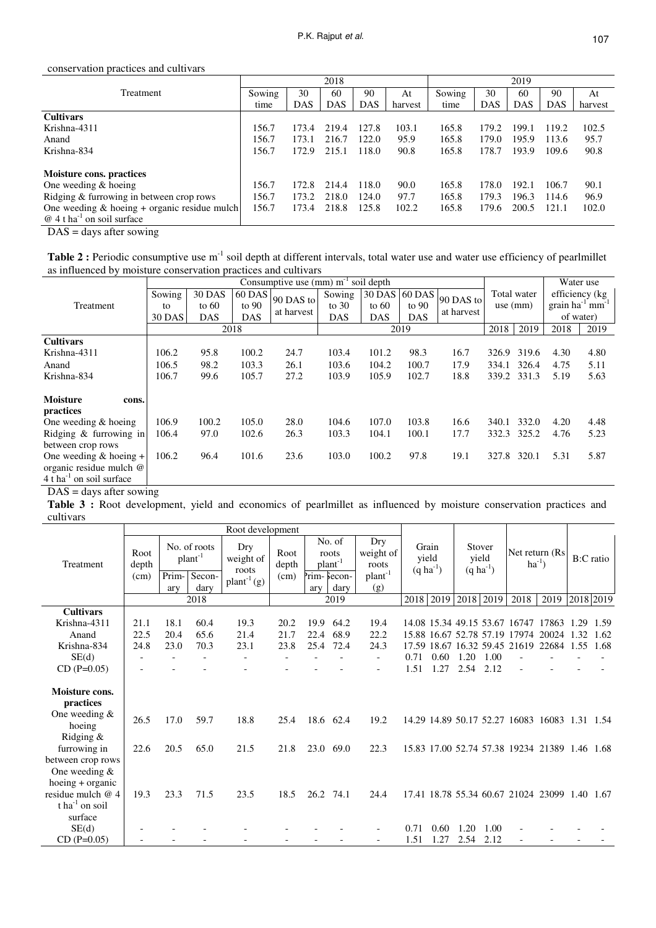## conservation practices and cultivars

|                                                 |        |            | 2018       |            |         | 2019   |            |            |            |         |  |  |
|-------------------------------------------------|--------|------------|------------|------------|---------|--------|------------|------------|------------|---------|--|--|
| <b>Treatment</b>                                | Sowing | 30         | 60         | 90         | At      | Sowing | 30         | 60         | 90         | At      |  |  |
|                                                 | time   | <b>DAS</b> | <b>DAS</b> | <b>DAS</b> | harvest | time   | <b>DAS</b> | <b>DAS</b> | <b>DAS</b> | harvest |  |  |
| <b>Cultivars</b>                                |        |            |            |            |         |        |            |            |            |         |  |  |
| Krishna-4311                                    | 156.7  | 173.4      | 219.4      | 127.8      | 103.1   | 165.8  | 179.2      | 199.1      | 119.2      | 102.5   |  |  |
| Anand                                           | 156.7  | 173.1      | 216.7      | 122.0      | 95.9    | 165.8  | 179.0      | 195.9      | 113.6      | 95.7    |  |  |
| Krishna-834                                     | 156.7  | 172.9      | 215.1      | 118.0      | 90.8    | 165.8  | 178.7      | 193.9      | 109.6      | 90.8    |  |  |
| <b>Moisture cons. practices</b>                 |        |            |            |            |         |        |            |            |            |         |  |  |
| One weeding $&$ hoeing                          | 156.7  | 172.8      | 214.4      | 118.0      | 90.0    | 165.8  | 178.0      | 192.1      | 106.7      | 90.1    |  |  |
| Ridging & furrowing in between crop rows        | 156.7  | 173.2      | 218.0      | 124.0      | 97.7    | 165.8  | 179.3      | 196.3      | 114.6      | 96.9    |  |  |
| One weeding $\&$ hoeing + organic residue mulch | 156.7  | 173.4      | 218.8      | 125.8      | 102.2   | 165.8  | 179.6      | 200.5      | 121.1      | 102.0   |  |  |
| $@4t$ ha <sup>-1</sup> on soil surface          |        |            |            |            |         |        |            |            |            |         |  |  |

DAS = days after sowing

Table 2 : Periodic consumptive use m<sup>-1</sup> soil depth at different intervals, total water use and water use efficiency of pearlmillet as influenced by moisture conservation practices and cultivars

|                                        |               |               |               |            | Water use  |               |            |            |                           |             |                                  |      |  |
|----------------------------------------|---------------|---------------|---------------|------------|------------|---------------|------------|------------|---------------------------|-------------|----------------------------------|------|--|
|                                        | Sowing        | <b>30 DAS</b> | <b>60 DAS</b> |            | Sowing     | 30 DAS 60 DAS |            | 90 DAS to  | Total water<br>use $(mm)$ |             | efficiency (kg                   |      |  |
| Treatment                              | to            | to $60$       | to $90$       | 90 DAS to  | to $30$    | to $60$       | to $90$    |            |                           |             | grain $ha^{-1}$ mm <sup>-1</sup> |      |  |
|                                        | <b>30 DAS</b> | <b>DAS</b>    | <b>DAS</b>    | at harvest | <b>DAS</b> | <b>DAS</b>    | <b>DAS</b> | at harvest |                           |             | of water)                        |      |  |
|                                        |               |               | 2018          |            |            |               | 2019       | 2018       | 2019                      | 2018        | 2019                             |      |  |
| <b>Cultivars</b>                       |               |               |               |            |            |               |            |            |                           |             |                                  |      |  |
| Krishna-4311                           | 106.2         | 95.8          | 100.2         | 24.7       | 103.4      | 101.2         | 98.3       | 16.7       | 326.9                     | 319.6       | 4.30                             | 4.80 |  |
| Anand                                  | 106.5         | 98.2          | 103.3         | 26.1       | 103.6      | 104.2         | 100.7      | 17.9       | 334.1                     | 326.4       | 4.75                             | 5.11 |  |
| Krishna-834                            | 106.7         | 99.6          | 105.7         | 27.2       | 103.9      | 105.9         | 102.7      | 18.8       |                           | 339.2 331.3 | 5.19                             | 5.63 |  |
| <b>Moisture</b><br>cons.               |               |               |               |            |            |               |            |            |                           |             |                                  |      |  |
| practices                              |               |               |               |            |            |               |            |            |                           |             |                                  |      |  |
| One weeding & hoeing                   | 106.9         | 100.2         | 105.0         | 28.0       | 104.6      | 107.0         | 103.8      | 16.6       | 340.1                     | 332.0       | 4.20                             | 4.48 |  |
| Ridging $\&$ furrowing in              | 106.4         | 97.0          | 102.6         | 26.3       | 103.3      | 104.1         | 100.1      | 17.7       | 332.3                     | 325.2       | 4.76                             | 5.23 |  |
| between crop rows                      |               |               |               |            |            |               |            |            |                           |             |                                  |      |  |
| One weeding $&$ hoeing +               | 106.2         | 96.4          | 101.6         | 23.6       | 103.0      | 100.2         | 97.8       | 19.1       | 327.8                     | 320.1       | 5.31                             | 5.87 |  |
| organic residue mulch @                |               |               |               |            |            |               |            |            |                           |             |                                  |      |  |
| $4$ t ha <sup>-1</sup> on soil surface |               |               |               |            |            |               |            |            |                           |             |                                  |      |  |

 $DAS =$  days after sowing

**Table 3 :** Root development, yield and economics of pearlmillet as influenced by moisture conservation practices and cultivars

|                                                                                    | Root development |                              |              |                           |               |                                        |             |                           |                                    |           |                                          |                |                                               |       |           |      |
|------------------------------------------------------------------------------------|------------------|------------------------------|--------------|---------------------------|---------------|----------------------------------------|-------------|---------------------------|------------------------------------|-----------|------------------------------------------|----------------|-----------------------------------------------|-------|-----------|------|
| Treatment                                                                          | Root<br>depth    | No. of roots<br>$plant^{-1}$ |              | Dry<br>weight of<br>roots | Root<br>depth | No. of<br>roots<br>plant <sup>-1</sup> |             | Dry<br>weight of<br>roots | Grain<br>yield<br>$(q \, ha^{-1})$ |           | Stover<br>yield<br>$(q \text{ ha}^{-1})$ |                | Net return (Rs)<br>$ha^{-1}$ )                |       | B:C ratio |      |
|                                                                                    | (cm)             | Prim-                        | Secon-       | $\text{plant}^{-1}(g)$    | (cm)          |                                        | Prim-Secon- | $plant^{-1}$              |                                    |           |                                          |                |                                               |       |           |      |
|                                                                                    |                  | arv                          | dary<br>2018 |                           |               | arv                                    | darv        | (g)                       |                                    |           |                                          |                |                                               |       |           |      |
|                                                                                    |                  |                              | 2019         |                           |               |                                        | 2018 2019   |                           |                                    | 2018 2019 | 2018                                     | 2019 2018 2019 |                                               |       |           |      |
| <b>Cultivars</b>                                                                   |                  |                              |              |                           |               |                                        |             |                           |                                    |           |                                          |                |                                               |       |           |      |
| Krishna-4311                                                                       | 21.1             | 18.1                         | 60.4         | 19.3                      | 20.2          | 19.9                                   | 64.2        | 19.4                      |                                    |           |                                          |                | 14.08 15.34 49.15 53.67 16747                 | 17863 | 1.29      | 1.59 |
| Anand                                                                              | 22.5             | 20.4                         | 65.6         | 21.4                      | 21.7          | 22.4                                   | 68.9        | 22.2                      |                                    |           |                                          |                | 15.88 16.67 52.78 57.19 17974 20024           |       | 1.32      | 1.62 |
| Krishna-834                                                                        | 24.8             | 23.0                         | 70.3         | 23.1                      | 23.8          |                                        | 25.4 72.4   | 24.3                      |                                    |           |                                          |                | 17.59 18.67 16.32 59.45 21619 22684 1.55      |       |           | 1.68 |
| SE(d)                                                                              |                  |                              |              |                           |               |                                        |             | $\overline{\phantom{a}}$  | 0.71                               | 0.60      | 1.20                                     | 1.00           |                                               |       |           |      |
| $CD (P=0.05)$                                                                      |                  |                              |              |                           |               |                                        |             | $\overline{\phantom{a}}$  | 1.51                               | 1.27      | 2.54                                     | 2.12           |                                               |       |           |      |
| Moisture cons.<br>practices                                                        |                  |                              |              |                           |               |                                        |             |                           |                                    |           |                                          |                |                                               |       |           |      |
| One weeding $&$<br>hoeing<br>Ridging $\&$                                          | 26.5             | 17.0                         | 59.7         | 18.8                      | 25.4          |                                        | 18.6 62.4   | 19.2                      |                                    |           |                                          |                | 14.29 14.89 50.17 52.27 16083 16083 1.31 1.54 |       |           |      |
| furrowing in<br>between crop rows<br>One weeding $&$                               | 22.6             | 20.5                         | 65.0         | 21.5                      | 21.8          |                                        | 23.0 69.0   | 22.3                      |                                    |           |                                          |                | 15.83 17.00 52.74 57.38 19234 21389 1.46 1.68 |       |           |      |
| $hoeing + organic$<br>residue mulch @ 4<br>$t$ ha <sup>-1</sup> on soil<br>surface | 19.3             | 23.3                         | 71.5         | 23.5                      | 18.5          |                                        | 26.2 74.1   | 24.4                      |                                    |           |                                          |                | 17.41 18.78 55.34 60.67 21024 23099 1.40      |       |           | 1.67 |
| SE(d)                                                                              |                  |                              |              |                           |               |                                        |             |                           | 0.71                               | 0.60      | 1.20                                     | 1.00           |                                               |       |           |      |
| $CD(P=0.05)$                                                                       |                  |                              |              |                           |               |                                        |             |                           | 1.51                               | 1.27      | 2.54                                     | 2.12           |                                               |       |           |      |